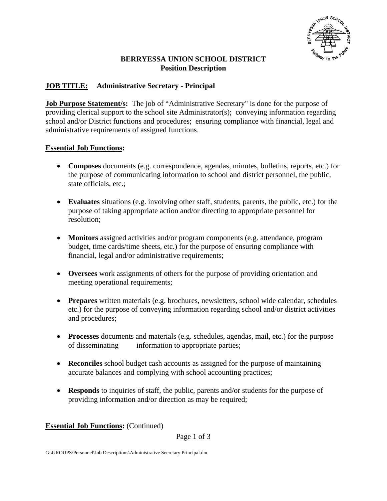

#### **BERRYESSA UNION SCHOOL DISTRICT Position Description**

# **JOB TITLE: Administrative Secretary - Principal**

**Job Purpose Statement/s:** The job of "Administrative Secretary" is done for the purpose of providing clerical support to the school site Administrator(s); conveying information regarding school and/or District functions and procedures; ensuring compliance with financial, legal and administrative requirements of assigned functions.

#### **Essential Job Functions:**

- **Composes** documents (e.g. correspondence, agendas, minutes, bulletins, reports, etc.) for the purpose of communicating information to school and district personnel, the public, state officials, etc.;
- **Evaluates** situations (e.g. involving other staff, students, parents, the public, etc.) for the purpose of taking appropriate action and/or directing to appropriate personnel for resolution;
- **Monitors** assigned activities and/or program components (e.g. attendance, program budget, time cards/time sheets, etc.) for the purpose of ensuring compliance with financial, legal and/or administrative requirements;
- **Oversees** work assignments of others for the purpose of providing orientation and meeting operational requirements;
- **Prepares** written materials (e.g. brochures, newsletters, school wide calendar, schedules etc.) for the purpose of conveying information regarding school and/or district activities and procedures;
- **Processes** documents and materials (e.g. schedules, agendas, mail, etc.) for the purpose of disseminating information to appropriate parties;
- **Reconciles** school budget cash accounts as assigned for the purpose of maintaining accurate balances and complying with school accounting practices;
- **Responds** to inquiries of staff, the public, parents and/or students for the purpose of providing information and/or direction as may be required;

## **Essential Job Functions:** (Continued)

Page 1 of 3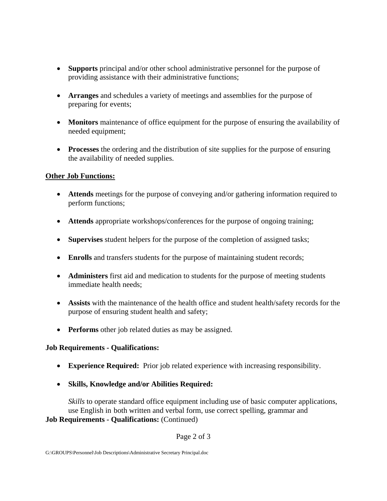- **Supports** principal and/or other school administrative personnel for the purpose of providing assistance with their administrative functions;
- **Arranges** and schedules a variety of meetings and assemblies for the purpose of preparing for events;
- **Monitors** maintenance of office equipment for the purpose of ensuring the availability of needed equipment;
- **Processes** the ordering and the distribution of site supplies for the purpose of ensuring the availability of needed supplies.

## **Other Job Functions:**

- **Attends** meetings for the purpose of conveying and/or gathering information required to perform functions;
- **Attends** appropriate workshops/conferences for the purpose of ongoing training;
- **Supervises** student helpers for the purpose of the completion of assigned tasks;
- **Enrolls** and transfers students for the purpose of maintaining student records;
- **Administers** first aid and medication to students for the purpose of meeting students immediate health needs;
- **Assists** with the maintenance of the health office and student health/safety records for the purpose of ensuring student health and safety;
- **Performs** other job related duties as may be assigned.

## **Job Requirements - Qualifications:**

- **Experience Required:** Prior job related experience with increasing responsibility.
- **Skills, Knowledge and/or Abilities Required:**

*Skills* to operate standard office equipment including use of basic computer applications, use English in both written and verbal form, use correct spelling, grammar and **Job Requirements - Qualifications:** (Continued)

Page 2 of 3